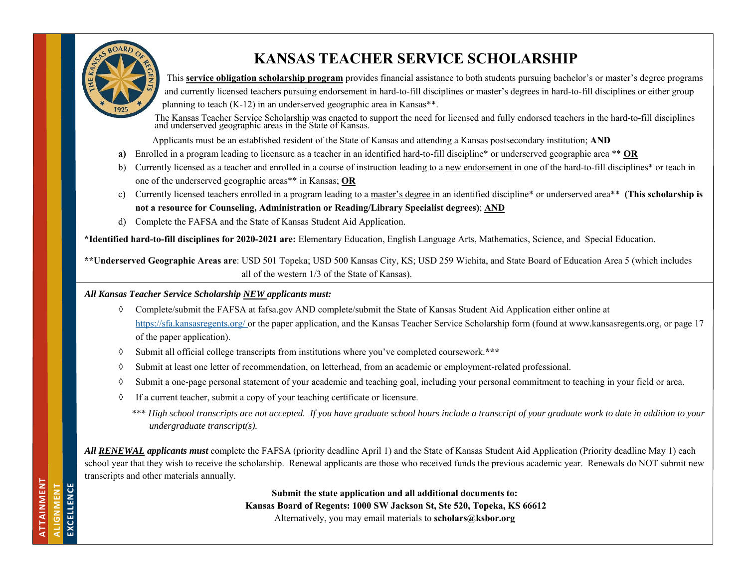

**ATTAINMENT ALIGNMENT EXCELLENCE** 

EXCELLENCE **NENT** 

ATTAINMENT

# **KANSAS TEACHER SERVICE SCHOLARSHIP**

 This **service obligation scholarship program** provides financial assistance to both students pursuing bachelor's or master's degree programs and currently licensed teachers pursuing endorsement in hard-to-fill disciplines or master's degrees in hard-to-fill disciplines or either group planning to teach (K-12) in an underserved geographic area in Kansas\*\*.

The Kansas Teacher Service Scholarship was enacted to support the need for licensed and fully endorsed teachers in the hard-to-fill disciplines and underserved geographic areas in the State of Kansas.

Applicants must be an established resident of the State of Kansas and attending a Kansas postsecondary institution; **AND** 

- **a)** Enrolled in a program leading to licensure as a teacher in an identified hard-to-fill discipline\* or underserved geographic area \*\* **OR**
- b) Currently licensed as a teacher and enrolled in a course of instruction leading to a new endorsement in one of the hard-to-fill disciplines\* or teach in one of the underserved geographic areas\*\* in Kansas; **OR**
- c) Currently licensed teachers enrolled in a program leading to a master's degree in an identified discipline\* or underserved area\*\* **(This scholarship is not a resource for Counseling, Administration or Reading/Library Specialist degrees)**; **AND**
- d) Complete the FAFSA and the State of Kansas Student Aid Application.

**\*Identified hard-to-fill disciplines for 2020-2021 are:** Elementary Education, English Language Arts, Mathematics, Science, and Special Education.

**\*\*Underserved Geographic Areas are**: USD 501 Topeka; USD 500 Kansas City, KS; USD 259 Wichita, and State Board of Education Area 5 (which includes all of the western 1/3 of the State of Kansas).

*All Kansas Teacher Service Scholarship NEW applicants must:* 

- $\Diamond$  Complete/submit the FAFSA at fafsa.gov AND complete/submit the State of Kansas Student Aid Application either online at https://sfa.kansasregents.org/ or the paper application, and the Kansas Teacher Service Scholarship form (found at www.kansasregents.org, or page 17 of the paper application).
- $\Diamond$ Submit all official college transcripts from institutions where you've completed coursework.**\*\*\***
- $\Diamond$ Submit at least one letter of recommendation, on letterhead, from an academic or employment-related professional.
- $\Diamond$ Submit a one-page personal statement of your academic and teaching goal, including your personal commitment to teaching in your field or area.
- ♦ If a current teacher, submit a copy of your teaching certificate or licensure.
	- \*\*\* *High school transcripts are not accepted. If you have graduate school hours include a transcript of your graduate work to date in addition to your undergraduate transcript(s).*

*All RENEWAL applicants must* complete the FAFSA (priority deadline April 1) and the State of Kansas Student Aid Application (Priority deadline May 1) each school year that they wish to receive the scholarship. Renewal applicants are those who received funds the previous academic year. Renewals do NOT submit new transcripts and other materials annually.

> **Submit the state application and all additional documents to: Kansas Board of Regents: 1000 SW Jackson St, Ste 520, Topeka, KS 66612**  Alternatively, you may email materials to **scholars@ksbor.org**